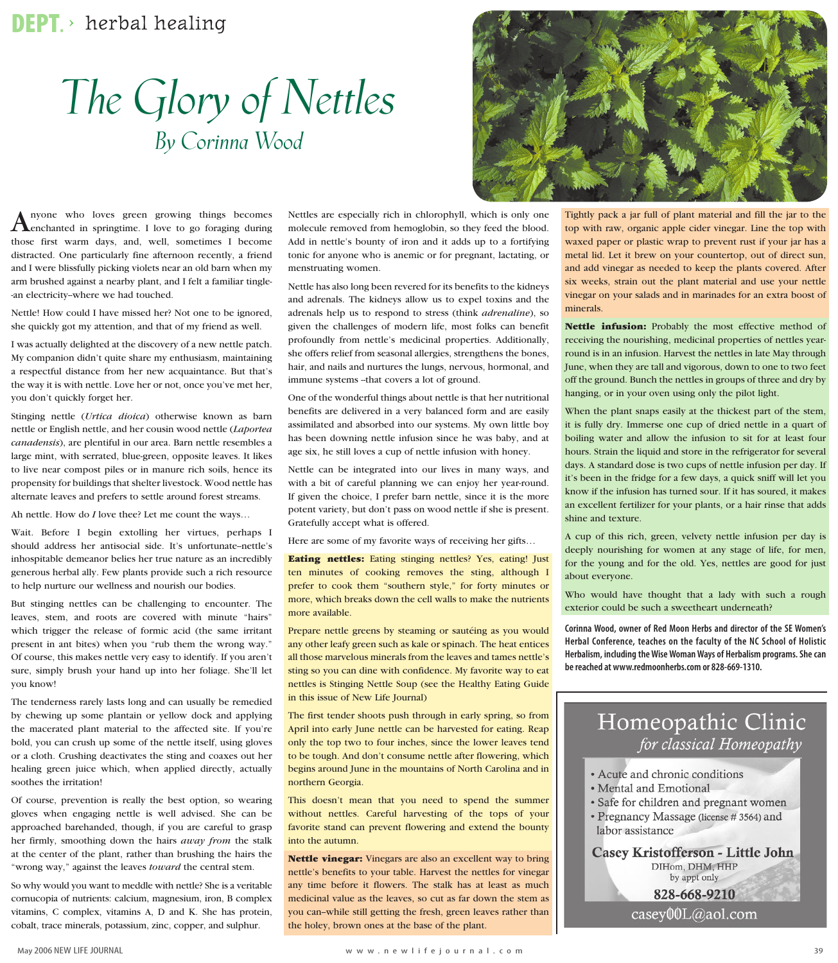## **DEPT.** ≥ herbal healing

## *The Glory of Nettles By Corinna Wood*



Anyone who loves green growing things becomes enchanted in springtime. I love to go foraging during those first warm days, and, well, sometimes I become distracted. One particularly fine afternoon recently, a friend and I were blissfully picking violets near an old barn when my arm brushed against a nearby plant, and I felt a familiar tingle- -an electricity--where we had touched.

Nettle! How could I have missed her? Not one to be ignored, she quickly got my attention, and that of my friend as well.

I was actually delighted at the discovery of a new nettle patch. My companion didn't quite share my enthusiasm, maintaining a respectful distance from her new acquaintance. But that's the way it is with nettle. Love her or not, once you've met her, you don't quickly forget her.

Stinging nettle (*Urtica dioica*) otherwise known as barn nettle or English nettle, and her cousin wood nettle (*Laportea canadensis*), are plentiful in our area. Barn nettle resembles a large mint, with serrated, blue-green, opposite leaves. It likes to live near compost piles or in manure rich soils, hence its propensity for buildings that shelter livestock. Wood nettle has alternate leaves and prefers to settle around forest streams.

Ah nettle. How do *I* love thee? Let me count the ways…

Wait. Before I begin extolling her virtues, perhaps I should address her antisocial side. It's unfortunate--nettle's inhospitable demeanor belies her true nature as an incredibly generous herbal ally. Few plants provide such a rich resource to help nurture our wellness and nourish our bodies.

But stinging nettles can be challenging to encounter. The leaves, stem, and roots are covered with minute "hairs" which trigger the release of formic acid (the same irritant present in ant bites) when you "rub them the wrong way." Of course, this makes nettle very easy to identify. If you aren't sure, simply brush your hand up into her foliage. She'll let you know!

The tenderness rarely lasts long and can usually be remedied by chewing up some plantain or yellow dock and applying the macerated plant material to the affected site. If you're bold, you can crush up some of the nettle itself, using gloves or a cloth. Crushing deactivates the sting and coaxes out her healing green juice which, when applied directly, actually soothes the irritation!

Of course, prevention is really the best option, so wearing gloves when engaging nettle is well advised. She can be approached barehanded, though, if you are careful to grasp her firmly, smoothing down the hairs *away from* the stalk at the center of the plant, rather than brushing the hairs the "wrong way," against the leaves *toward* the central stem.

So why would you want to meddle with nettle? She is a veritable cornucopia of nutrients: calcium, magnesium, iron, B complex vitamins, C complex, vitamins A, D and K. She has protein, cobalt, trace minerals, potassium, zinc, copper, and sulphur.

Nettles are especially rich in chlorophyll, which is only one molecule removed from hemoglobin, so they feed the blood. Add in nettle's bounty of iron and it adds up to a fortifying tonic for anyone who is anemic or for pregnant, lactating, or menstruating women.

Nettle has also long been revered for its benefits to the kidneys and adrenals. The kidneys allow us to expel toxins and the adrenals help us to respond to stress (think *adrenaline*), so given the challenges of modern life, most folks can benefit profoundly from nettle's medicinal properties. Additionally, she offers relief from seasonal allergies, strengthens the bones, hair, and nails and nurtures the lungs, nervous, hormonal, and immune systems -- that covers a lot of ground.

One of the wonderful things about nettle is that her nutritional benefits are delivered in a very balanced form and are easily assimilated and absorbed into our systems. My own little boy has been downing nettle infusion since he was baby, and at age six, he still loves a cup of nettle infusion with honey.

Nettle can be integrated into our lives in many ways, and with a bit of careful planning we can enjoy her year-round. If given the choice, I prefer barn nettle, since it is the more potent variety, but don't pass on wood nettle if she is present. Gratefully accept what is offered.

Here are some of my favorite ways of receiving her gifts…

**Eating nettles:** Eating stinging nettles? Yes, eating! Just ten minutes of cooking removes the sting, although I prefer to cook them "southern style," for forty minutes or more, which breaks down the cell walls to make the nutrients more available.

Prepare nettle greens by steaming or sautéing as you would any other leafy green such as kale or spinach. The heat entices all those marvelous minerals from the leaves and tames nettle's sting so you can dine with confidence. My favorite way to eat nettles is Stinging Nettle Soup (see the Healthy Eating Guide in this issue of New Life Journal)

The first tender shoots push through in early spring, so from April into early June nettle can be harvested for eating. Reap only the top two to four inches, since the lower leaves tend to be tough. And don't consume nettle after flowering, which begins around June in the mountains of North Carolina and in northern Georgia.

This doesn't mean that you need to spend the summer without nettles. Careful harvesting of the tops of your favorite stand can prevent flowering and extend the bounty into the autumn.

**Nettle vinegar:** Vinegars are also an excellent way to bring nettle's benefits to your table. Harvest the nettles for vinegar any time before it flowers. The stalk has at least as much medicinal value as the leaves, so cut as far down the stem as you can--while still getting the fresh, green leaves rather than the holey, brown ones at the base of the plant.

top with raw, organic apple cider vinegar. Line the top with waxed paper or plastic wrap to prevent rust if your jar has a metal lid. Let it brew on your countertop, out of direct sun, and add vinegar as needed to keep the plants covered. After six weeks, strain out the plant material and use your nettle vinegar on your salads and in marinades for an extra boost of minerals.

**Nettle infusion:** Probably the most effective method of receiving the nourishing, medicinal properties of nettles yearround is in an infusion. Harvest the nettles in late May through June, when they are tall and vigorous, down to one to two feet off the ground. Bunch the nettles in groups of three and dry by hanging, or in your oven using only the pilot light.

When the plant snaps easily at the thickest part of the stem, it is fully dry. Immerse one cup of dried nettle in a quart of boiling water and allow the infusion to sit for at least four hours. Strain the liquid and store in the refrigerator for several days. A standard dose is two cups of nettle infusion per day. If it's been in the fridge for a few days, a quick sniff will let you know if the infusion has turned sour. If it has soured, it makes an excellent fertilizer for your plants, or a hair rinse that adds shine and texture.

A cup of this rich, green, velvety nettle infusion per day is deeply nourishing for women at any stage of life, for men, for the young and for the old. Yes, nettles are good for just about everyone.

Who would have thought that a lady with such a rough exterior could be such a sweetheart underneath?

**Corinna Wood, owner of Red Moon Herbs and director of the SE Women's Herbal Conference, teaches on the faculty of the NC School of Holistic Herbalism, including the Wise Woman Ways of Herbalism programs. She can be reached at www.redmoonherbs.com or 828-669-1310.**



- Acute and chronic conditions
- Mental and Emotional
- · Safe for children and pregnant women
- Pregnancy Massage (license # 3564) and labor assistance

Casey Kristofferson - Little John DIHom, DHM, HHP by appt only 828-668-9210

 $casey00L$ @aol.com